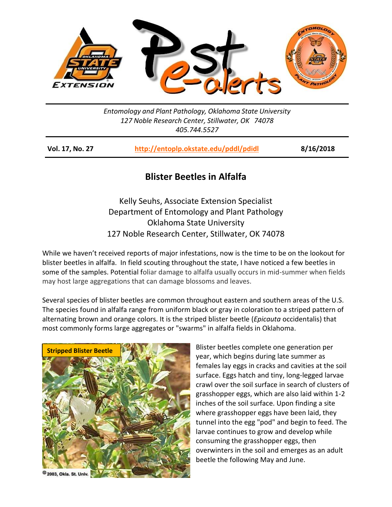

*Entomology and Plant Pathology, Oklahoma State University 127 Noble Research Center, Stillwater, OK 74078 405.744.5527*

| Vol. 17, No. 27 | http://entoplp.okstate.edu/pddl/pdidl | 8/16/2018 |
|-----------------|---------------------------------------|-----------|
|-----------------|---------------------------------------|-----------|

## **Blister Beetles in Alfalfa**

Kelly Seuhs, Associate Extension Specialist Department of Entomology and Plant Pathology Oklahoma State University 127 Noble Research Center, Stillwater, OK 74078

While we haven't received reports of major infestations, now is the time to be on the lookout for blister beetles in alfalfa. In field scouting throughout the state, I have noticed a few beetles in some of the samples. Potential foliar damage to alfalfa usually occurs in mid-summer when fields may host large aggregations that can damage blossoms and leaves.

Several species of [blister beetles](http://soilcropandmore.info/crops/alfalfa/alfalfa.okstate.edu/images/insects/blisterbeetlephotos.html) are common throughout eastern and southern areas of the U.S. The species found in alfalfa range from [uniform black](http://soilcropandmore.info/crops/alfalfa/alfalfa.okstate.edu/images/insects/blk-blbe.htm) or gray in coloration to a striped pattern of alternating brown and orange colors. It is the striped blister beetle (*Epicauta* occidentalis) that most commonly forms large aggregates or "swarms" in alfalfa fields in Oklahoma.



Blister beetles complete one generation per year, which begins during late summer as females lay eggs in cracks and cavities at the soil surface. Eggs hatch and tiny, long-legged larvae crawl over the soil surface in search of clusters of grasshopper eggs, which are also laid within 1-2 inches of the soil surface. Upon finding a site where grasshopper eggs have been laid, they tunnel into the egg "pod" and begin to feed. The larvae continues to grow and develop while consuming the grasshopper eggs, then overwinters in the soil and emerges as an adult beetle the following May and June.